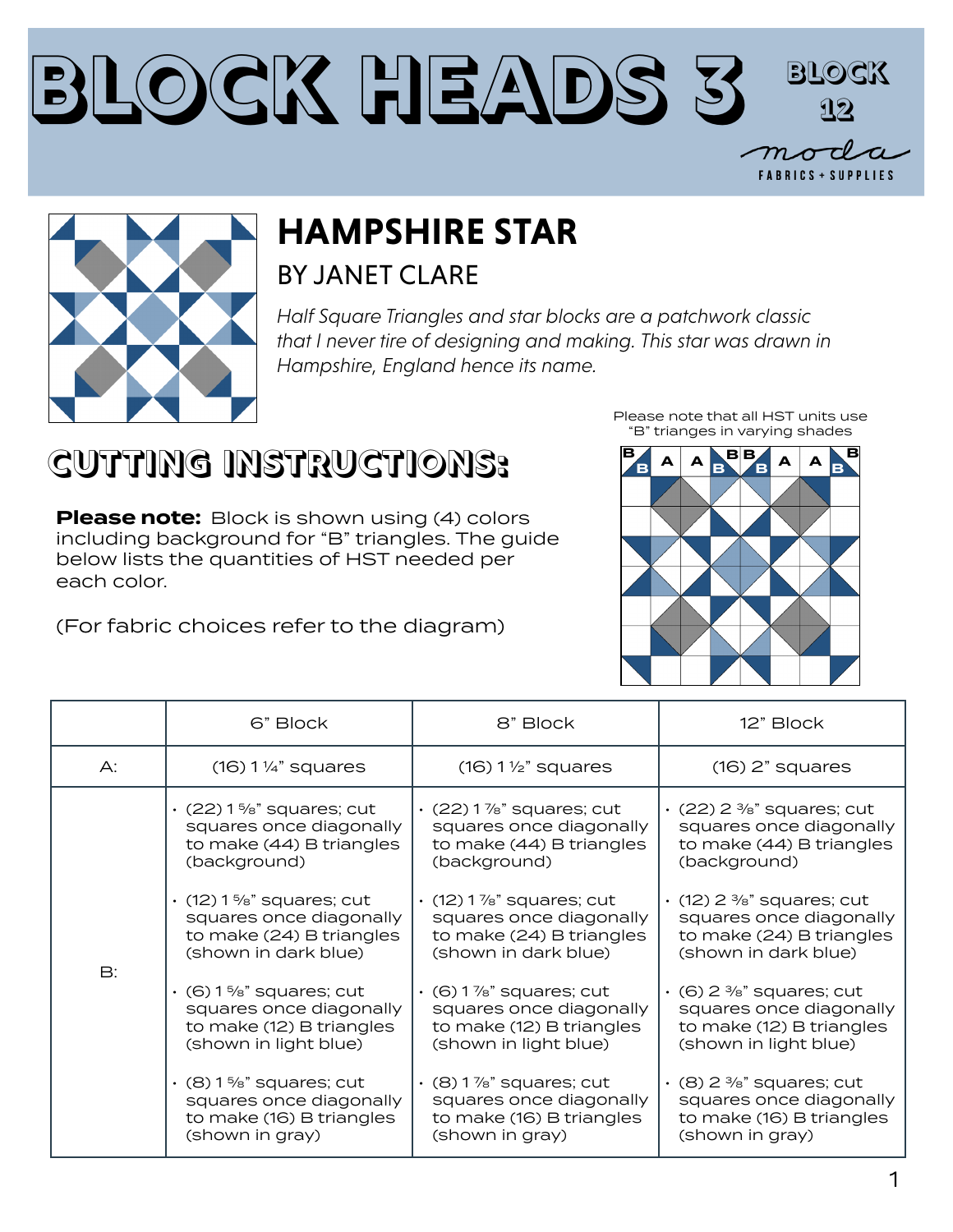#### **Block Heads 3 Block 12** $m\sigma$ **FABRICS + SUPPLIES**



#### **HAMPSHIRE STAR** BY JANET CLARE

*Half Square Triangles and star blocks are a patchwork classic that I never tire of designing and making. This star was drawn in Hampshire, England hence its name.*

### **CUTTING INSTRUCTIONS:**

**Please note:** Block is shown using (4) colors including background for "B" triangles. The guide below lists the quantities of HST needed per each color.

(For fabric choices refer to the diagram)

**B**, **A A B B**, **A A B B B B B** "B" trianges in varying shades

Please note that all HST units use

|           | 6" Block                                                                                                      | 8" Block                                                                                                      | 12" Block                                                                                                     |
|-----------|---------------------------------------------------------------------------------------------------------------|---------------------------------------------------------------------------------------------------------------|---------------------------------------------------------------------------------------------------------------|
| A:        | $(16) 1\frac{1}{4}$ squares                                                                                   | $(16) 1 \frac{1}{2}$ squares                                                                                  | $(16)$ 2" squares                                                                                             |
| <b>B:</b> | $\cdot$ (22) 1 %" squares; cut<br>squares once diagonally<br>to make (44) B triangles<br>(background)         | $\cdot$ (22) 1%" squares; cut<br>squares once diagonally<br>to make (44) B triangles<br>(background)          | $\cdot$ (22) 2 %" squares; cut<br>squares once diagonally<br>to make (44) B triangles<br>(background)         |
|           | $\cdot$ (12) 1 %" squares; cut<br>squares once diagonally<br>to make (24) B triangles<br>(shown in dark blue) | $\cdot$ (12) 1 %" squares; cut<br>squares once diagonally<br>to make (24) B triangles<br>(shown in dark blue) | $\cdot$ (12) 2 %" squares; cut<br>squares once diagonally<br>to make (24) B triangles<br>(shown in dark blue) |
|           | $\cdot$ (6) 1 %" squares; cut<br>squares once diagonally<br>to make (12) B triangles<br>(shown in light blue) | $(6)$ 1 %" squares; cut<br>squares once diagonally<br>to make (12) B triangles<br>(shown in light blue)       | $\cdot$ (6) 2 %" squares; cut<br>squares once diagonally<br>to make (12) B triangles<br>(shown in light blue) |
|           | $\cdot$ (8) 1%" squares; cut<br>squares once diagonally<br>to make (16) B triangles<br>(shown in gray)        | $\cdot$ (8) 1 %" squares; cut<br>squares once diagonally<br>to make (16) B triangles<br>(shown in gray)       | $\cdot$ (8) 2 %" squares; cut<br>squares once diagonally<br>to make (16) B triangles<br>(shown in gray)       |